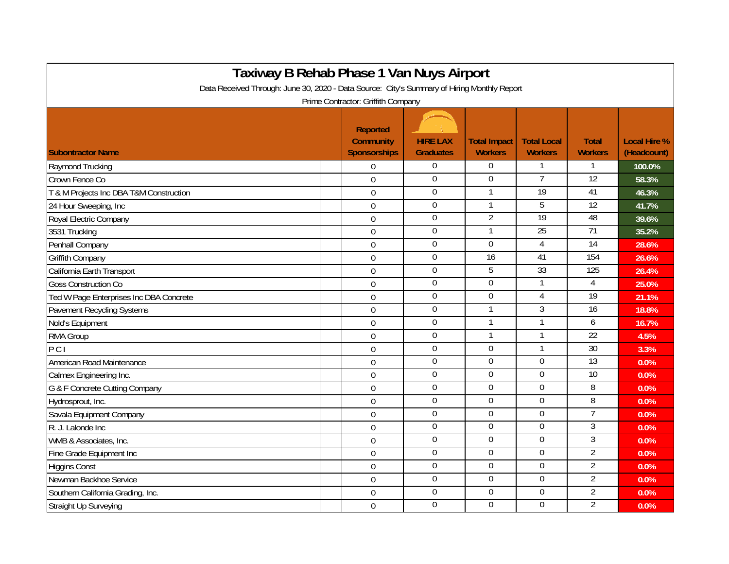| Taxiway B Rehab Phase 1 Van Nuys Airport                                                                                          |                                              |                                     |                                       |                                      |                                |                                    |  |  |  |  |  |  |
|-----------------------------------------------------------------------------------------------------------------------------------|----------------------------------------------|-------------------------------------|---------------------------------------|--------------------------------------|--------------------------------|------------------------------------|--|--|--|--|--|--|
| Data Received Through: June 30, 2020 - Data Source: City's Summary of Hiring Monthly Report<br>Prime Contractor: Griffith Company |                                              |                                     |                                       |                                      |                                |                                    |  |  |  |  |  |  |
| <b>Subontractor Name</b>                                                                                                          | Reported<br><b>Community</b><br>Sponsorships | <b>HIRE LAX</b><br><b>Graduates</b> | <b>Total Impact</b><br><b>Workers</b> | <b>Total Local</b><br><b>Workers</b> | <b>Total</b><br><b>Workers</b> | <b>Local Hire %</b><br>(Headcount) |  |  |  |  |  |  |
| Raymond Trucking                                                                                                                  | $\overline{0}$                               | $\mathbf{0}$                        | $\Omega$                              | $\mathbf{1}$                         | 1                              | 100.0%                             |  |  |  |  |  |  |
| Crown Fence Co                                                                                                                    | $\mathbf 0$                                  | $\boldsymbol{0}$                    | $\mathbf 0$                           | $\overline{7}$                       | $\overline{12}$                | 58.3%                              |  |  |  |  |  |  |
| T & M Projects Inc DBA T&M Construction                                                                                           | $\mathbf 0$                                  | $\boldsymbol{0}$                    | 1                                     | $\overline{19}$                      | 41                             | 46.3%                              |  |  |  |  |  |  |
| 24 Hour Sweeping, Inc                                                                                                             | $\mathbf 0$                                  | $\pmb{0}$                           |                                       | 5                                    | $\overline{12}$                | 41.7%                              |  |  |  |  |  |  |
| Royal Electric Company                                                                                                            | $\mathbf 0$                                  | $\mathbf 0$                         | $\overline{2}$                        | 19                                   | 48                             | 39.6%                              |  |  |  |  |  |  |
| 3531 Trucking                                                                                                                     | $\overline{0}$                               | $\mathbf 0$                         | 1                                     | 25                                   | 71                             | 35.2%                              |  |  |  |  |  |  |
| Penhall Company                                                                                                                   | $\overline{0}$                               | $\mathbf 0$                         | $\mathbf 0$                           | 4                                    | $\overline{14}$                | 28.6%                              |  |  |  |  |  |  |
| <b>Griffith Company</b>                                                                                                           | $\overline{0}$                               | $\overline{0}$                      | 16                                    | 41                                   | 154                            | 26.6%                              |  |  |  |  |  |  |
| California Earth Transport                                                                                                        | $\overline{0}$                               | $\overline{0}$                      | 5                                     | 33                                   | 125                            | 26.4%                              |  |  |  |  |  |  |
| <b>Goss Construction Co</b>                                                                                                       | $\mathbf 0$                                  | $\overline{0}$                      | $\overline{0}$                        | 1                                    | 4                              | 25.0%                              |  |  |  |  |  |  |
| Ted W Page Enterprises Inc DBA Concrete                                                                                           | $\mathbf 0$                                  | $\mathbf 0$                         | $\overline{0}$                        | 4                                    | $\overline{19}$                | 21.1%                              |  |  |  |  |  |  |
| <b>Pavement Recycling Systems</b>                                                                                                 | $\mathbf 0$                                  | $\pmb{0}$                           |                                       | 3                                    | $\overline{16}$                | 18.8%                              |  |  |  |  |  |  |
| Nold's Equipment                                                                                                                  | $\mathbf 0$                                  | $\boldsymbol{0}$                    |                                       | 1                                    | 6                              | 16.7%                              |  |  |  |  |  |  |
| RMA Group                                                                                                                         | $\mathbf 0$                                  | $\boldsymbol{0}$                    |                                       | 1                                    | $\overline{22}$                | 4.5%                               |  |  |  |  |  |  |
| PCI                                                                                                                               | $\mathbf 0$                                  | $\mathbf 0$                         | $\mathbf 0$                           | $\mathbf{1}$                         | $\overline{30}$                | 3.3%                               |  |  |  |  |  |  |
| American Road Maintenance                                                                                                         | $\mathbf 0$                                  | $\overline{0}$                      | $\boldsymbol{0}$                      | $\mathbf 0$                          | $\overline{13}$                | 0.0%                               |  |  |  |  |  |  |
| Calmex Engineering Inc.                                                                                                           | $\overline{0}$                               | $\overline{0}$                      | $\overline{0}$                        | $\overline{0}$                       | 10                             | 0.0%                               |  |  |  |  |  |  |
| G & F Concrete Cutting Company                                                                                                    | $\Omega$                                     | $\mathbf 0$                         | $\overline{0}$                        | 0                                    | 8                              | 0.0%                               |  |  |  |  |  |  |
| Hydrosprout, Inc.                                                                                                                 | $\overline{0}$                               | $\overline{0}$                      | $\boldsymbol{0}$                      | 0                                    | 8                              | 0.0%                               |  |  |  |  |  |  |
| Savala Equipment Company                                                                                                          | $\overline{0}$                               | $\overline{0}$                      | $\overline{0}$                        | $\overline{0}$                       | $\overline{7}$                 | 0.0%                               |  |  |  |  |  |  |
| R. J. Lalonde Inc.                                                                                                                | $\boldsymbol{0}$                             | $\boldsymbol{0}$                    | $\boldsymbol{0}$                      | 0                                    | 3                              | 0.0%                               |  |  |  |  |  |  |
| WMB & Associates, Inc.                                                                                                            | $\mathbf 0$                                  | $\overline{0}$                      | $\overline{0}$                        | $\mathbf 0$                          | $\overline{3}$                 | 0.0%                               |  |  |  |  |  |  |
| Fine Grade Equipment Inc                                                                                                          | $\mathbf 0$                                  | $\boldsymbol{0}$                    | $\mathbf 0$                           | 0                                    | $\overline{2}$                 | 0.0%                               |  |  |  |  |  |  |
| <b>Higgins Const</b>                                                                                                              | $\mathbf 0$                                  | $\boldsymbol{0}$                    | $\boldsymbol{0}$                      | 0                                    | $\overline{2}$                 | 0.0%                               |  |  |  |  |  |  |
| Newman Backhoe Service                                                                                                            | $\overline{0}$                               | $\overline{0}$                      | $\boldsymbol{0}$                      | 0                                    | $\overline{2}$                 | 0.0%                               |  |  |  |  |  |  |
| Southern California Grading, Inc.                                                                                                 | $\mathbf 0$                                  | $\boldsymbol{0}$                    | $\boldsymbol{0}$                      | $\mathbf 0$                          | $\overline{2}$                 | 0.0%                               |  |  |  |  |  |  |
| <b>Straight Up Surveying</b>                                                                                                      | $\overline{0}$                               | $\mathbf 0$                         | $\overline{0}$                        | $\overline{0}$                       | $\overline{2}$                 | 0.0%                               |  |  |  |  |  |  |